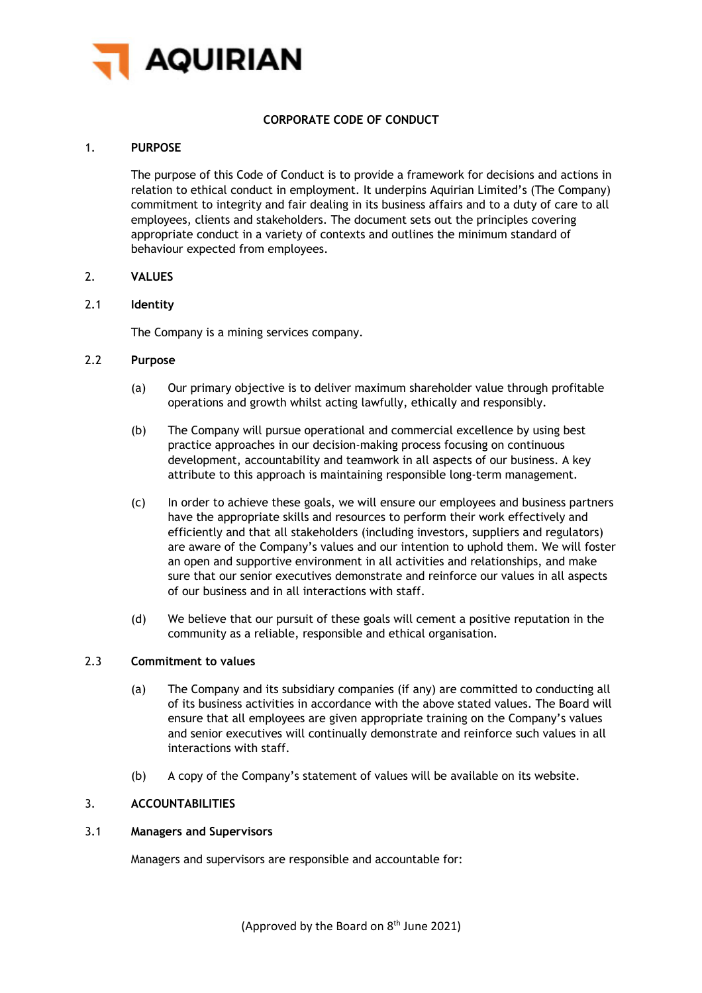

# **CORPORATE CODE OF CONDUCT**

## 1. **PURPOSE**

The purpose of this Code of Conduct is to provide a framework for decisions and actions in relation to ethical conduct in employment. It underpins Aquirian Limited's (The Company) commitment to integrity and fair dealing in its business affairs and to a duty of care to all employees, clients and stakeholders. The document sets out the principles covering appropriate conduct in a variety of contexts and outlines the minimum standard of behaviour expected from employees.

#### 2. **VALUES**

## 2.1 **Identity**

The Company is a mining services company.

#### 2.2 **Purpose**

- (a) Our primary objective is to deliver maximum shareholder value through profitable operations and growth whilst acting lawfully, ethically and responsibly.
- (b) The Company will pursue operational and commercial excellence by using best practice approaches in our decision-making process focusing on continuous development, accountability and teamwork in all aspects of our business. A key attribute to this approach is maintaining responsible long-term management.
- (c) In order to achieve these goals, we will ensure our employees and business partners have the appropriate skills and resources to perform their work effectively and efficiently and that all stakeholders (including investors, suppliers and regulators) are aware of the Company's values and our intention to uphold them. We will foster an open and supportive environment in all activities and relationships, and make sure that our senior executives demonstrate and reinforce our values in all aspects of our business and in all interactions with staff.
- (d) We believe that our pursuit of these goals will cement a positive reputation in the community as a reliable, responsible and ethical organisation.

#### 2.3 **Commitment to values**

- (a) The Company and its subsidiary companies (if any) are committed to conducting all of its business activities in accordance with the above stated values. The Board will ensure that all employees are given appropriate training on the Company's values and senior executives will continually demonstrate and reinforce such values in all interactions with staff.
- (b) A copy of the Company's statement of values will be available on its website.

## 3. **ACCOUNTABILITIES**

#### 3.1 **Managers and Supervisors**

Managers and supervisors are responsible and accountable for: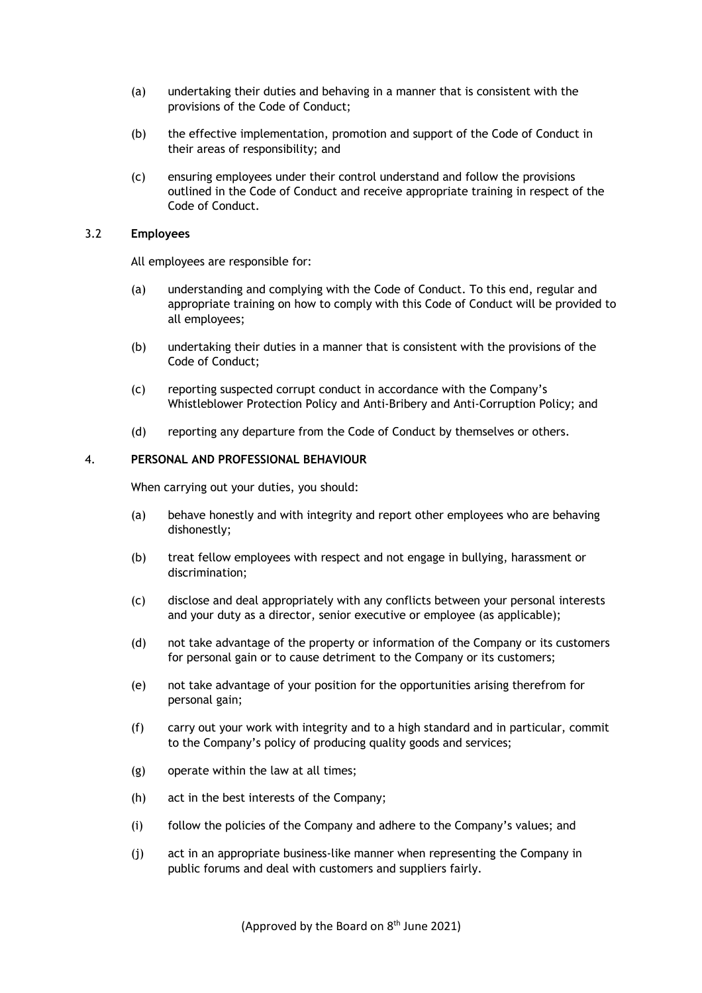- (a) undertaking their duties and behaving in a manner that is consistent with the provisions of the Code of Conduct;
- (b) the effective implementation, promotion and support of the Code of Conduct in their areas of responsibility; and
- (c) ensuring employees under their control understand and follow the provisions outlined in the Code of Conduct and receive appropriate training in respect of the Code of Conduct.

#### 3.2 **Employees**

All employees are responsible for:

- (a) understanding and complying with the Code of Conduct. To this end, regular and appropriate training on how to comply with this Code of Conduct will be provided to all employees;
- (b) undertaking their duties in a manner that is consistent with the provisions of the Code of Conduct;
- (c) reporting suspected corrupt conduct in accordance with the Company's Whistleblower Protection Policy and Anti-Bribery and Anti-Corruption Policy; and
- (d) reporting any departure from the Code of Conduct by themselves or others.

# 4. **PERSONAL AND PROFESSIONAL BEHAVIOUR**

When carrying out your duties, you should:

- (a) behave honestly and with integrity and report other employees who are behaving dishonestly;
- (b) treat fellow employees with respect and not engage in bullying, harassment or discrimination;
- (c) disclose and deal appropriately with any conflicts between your personal interests and your duty as a director, senior executive or employee (as applicable);
- (d) not take advantage of the property or information of the Company or its customers for personal gain or to cause detriment to the Company or its customers;
- (e) not take advantage of your position for the opportunities arising therefrom for personal gain;
- (f) carry out your work with integrity and to a high standard and in particular, commit to the Company's policy of producing quality goods and services;
- (g) operate within the law at all times;
- (h) act in the best interests of the Company;
- (i) follow the policies of the Company and adhere to the Company's values; and
- (j) act in an appropriate business-like manner when representing the Company in public forums and deal with customers and suppliers fairly.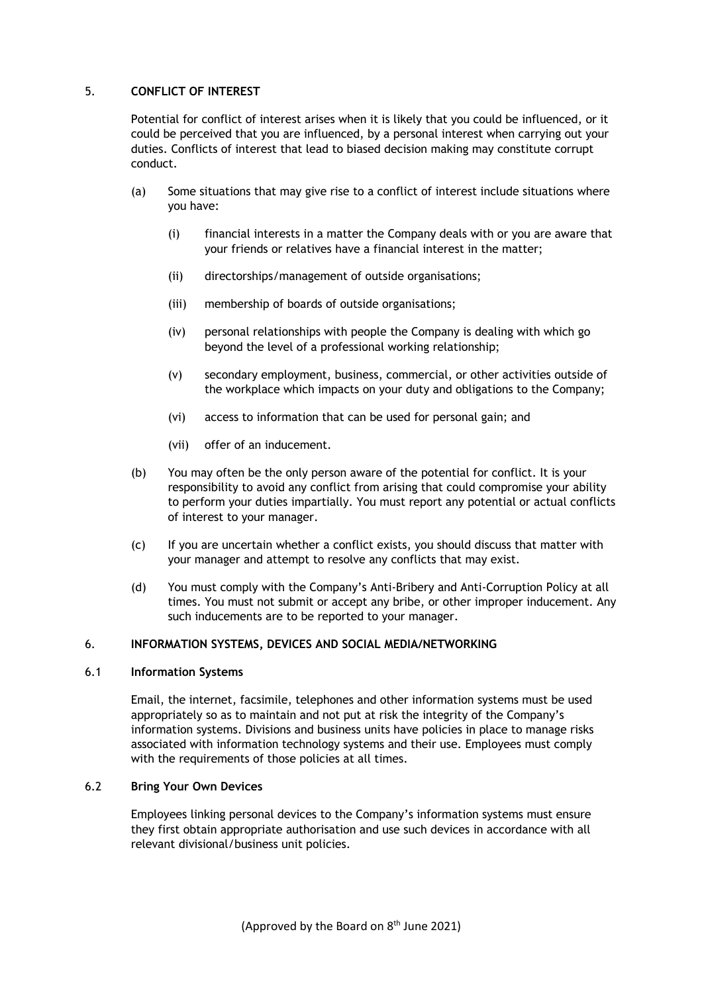# 5. **CONFLICT OF INTEREST**

Potential for conflict of interest arises when it is likely that you could be influenced, or it could be perceived that you are influenced, by a personal interest when carrying out your duties. Conflicts of interest that lead to biased decision making may constitute corrupt conduct.

- (a) Some situations that may give rise to a conflict of interest include situations where you have:
	- (i) financial interests in a matter the Company deals with or you are aware that your friends or relatives have a financial interest in the matter;
	- (ii) directorships/management of outside organisations;
	- (iii) membership of boards of outside organisations;
	- (iv) personal relationships with people the Company is dealing with which go beyond the level of a professional working relationship;
	- (v) secondary employment, business, commercial, or other activities outside of the workplace which impacts on your duty and obligations to the Company;
	- (vi) access to information that can be used for personal gain; and
	- (vii) offer of an inducement.
- (b) You may often be the only person aware of the potential for conflict. It is your responsibility to avoid any conflict from arising that could compromise your ability to perform your duties impartially. You must report any potential or actual conflicts of interest to your manager.
- (c) If you are uncertain whether a conflict exists, you should discuss that matter with your manager and attempt to resolve any conflicts that may exist.
- (d) You must comply with the Company's Anti-Bribery and Anti-Corruption Policy at all times. You must not submit or accept any bribe, or other improper inducement. Any such inducements are to be reported to your manager.

## 6. **INFORMATION SYSTEMS, DEVICES AND SOCIAL MEDIA/NETWORKING**

#### 6.1 **Information Systems**

Email, the internet, facsimile, telephones and other information systems must be used appropriately so as to maintain and not put at risk the integrity of the Company's information systems. Divisions and business units have policies in place to manage risks associated with information technology systems and their use. Employees must comply with the requirements of those policies at all times.

# 6.2 **Bring Your Own Devices**

Employees linking personal devices to the Company's information systems must ensure they first obtain appropriate authorisation and use such devices in accordance with all relevant divisional/business unit policies.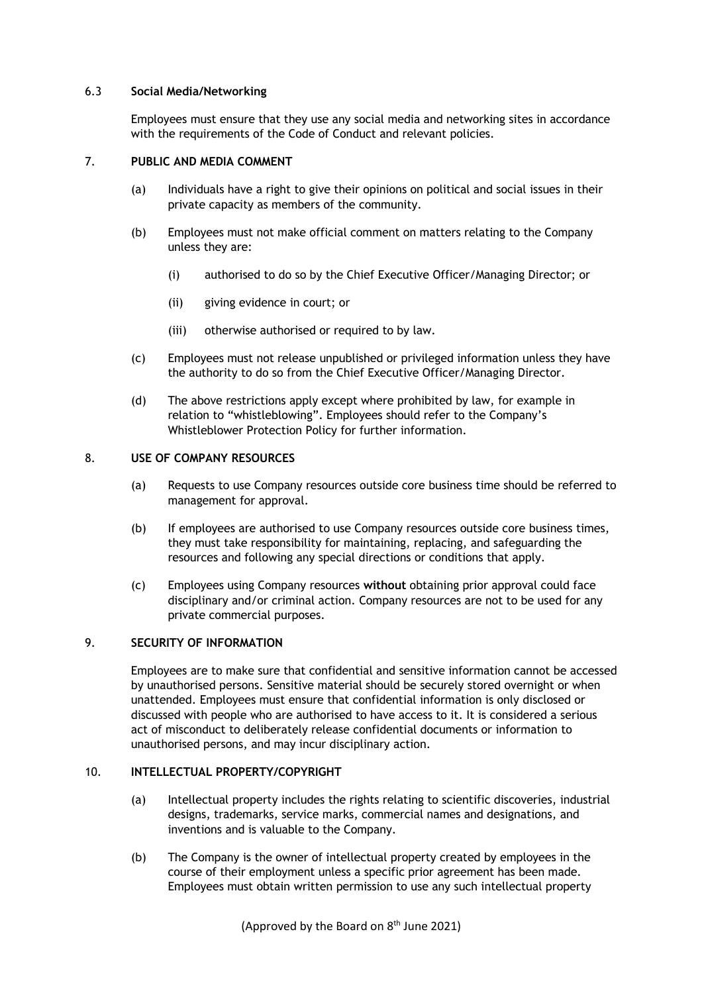#### 6.3 **Social Media/Networking**

Employees must ensure that they use any social media and networking sites in accordance with the requirements of the Code of Conduct and relevant policies.

## 7. **PUBLIC AND MEDIA COMMENT**

- (a) Individuals have a right to give their opinions on political and social issues in their private capacity as members of the community.
- (b) Employees must not make official comment on matters relating to the Company unless they are:
	- (i) authorised to do so by the Chief Executive Officer/Managing Director; or
	- (ii) giving evidence in court; or
	- (iii) otherwise authorised or required to by law.
- (c) Employees must not release unpublished or privileged information unless they have the authority to do so from the Chief Executive Officer/Managing Director.
- (d) The above restrictions apply except where prohibited by law, for example in relation to "whistleblowing". Employees should refer to the Company's Whistleblower Protection Policy for further information.

# 8. **USE OF COMPANY RESOURCES**

- (a) Requests to use Company resources outside core business time should be referred to management for approval.
- (b) If employees are authorised to use Company resources outside core business times, they must take responsibility for maintaining, replacing, and safeguarding the resources and following any special directions or conditions that apply.
- (c) Employees using Company resources **without** obtaining prior approval could face disciplinary and/or criminal action. Company resources are not to be used for any private commercial purposes.

# 9. **SECURITY OF INFORMATION**

Employees are to make sure that confidential and sensitive information cannot be accessed by unauthorised persons. Sensitive material should be securely stored overnight or when unattended. Employees must ensure that confidential information is only disclosed or discussed with people who are authorised to have access to it. It is considered a serious act of misconduct to deliberately release confidential documents or information to unauthorised persons, and may incur disciplinary action.

#### 10. **INTELLECTUAL PROPERTY/COPYRIGHT**

- (a) Intellectual property includes the rights relating to scientific discoveries, industrial designs, trademarks, service marks, commercial names and designations, and inventions and is valuable to the Company.
- (b) The Company is the owner of intellectual property created by employees in the course of their employment unless a specific prior agreement has been made. Employees must obtain written permission to use any such intellectual property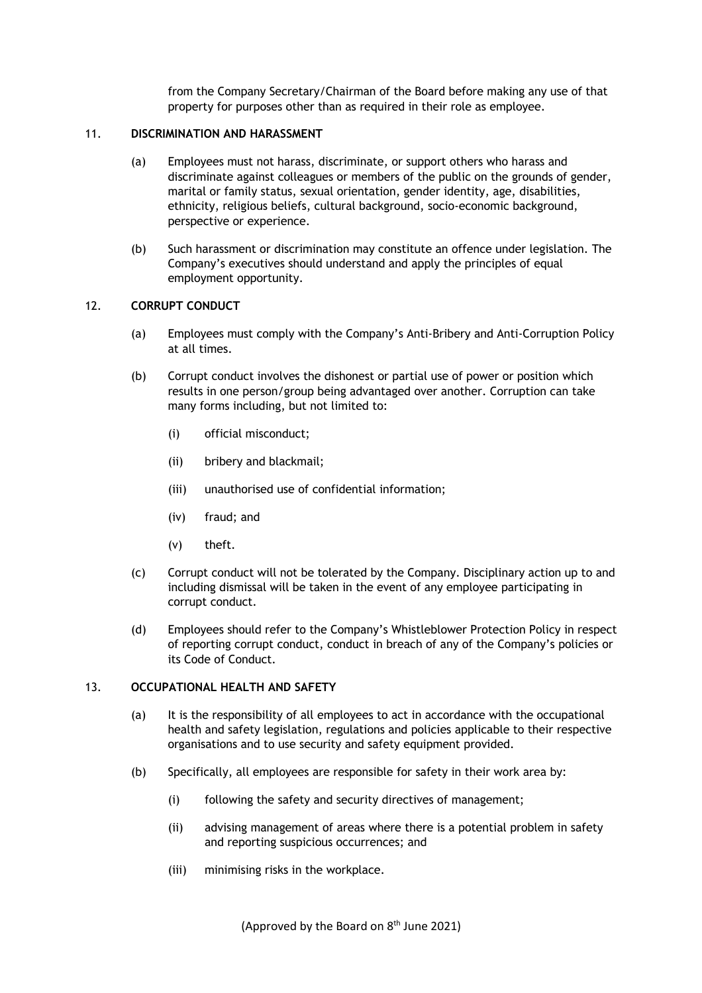from the Company Secretary/Chairman of the Board before making any use of that property for purposes other than as required in their role as employee.

#### 11. **DISCRIMINATION AND HARASSMENT**

- (a) Employees must not harass, discriminate, or support others who harass and discriminate against colleagues or members of the public on the grounds of gender, marital or family status, sexual orientation, gender identity, age, disabilities, ethnicity, religious beliefs, cultural background, socio-economic background, perspective or experience.
- (b) Such harassment or discrimination may constitute an offence under legislation. The Company's executives should understand and apply the principles of equal employment opportunity.

## 12. **CORRUPT CONDUCT**

- (a) Employees must comply with the Company's Anti-Bribery and Anti-Corruption Policy at all times.
- (b) Corrupt conduct involves the dishonest or partial use of power or position which results in one person/group being advantaged over another. Corruption can take many forms including, but not limited to:
	- (i) official misconduct;
	- (ii) bribery and blackmail;
	- (iii) unauthorised use of confidential information;
	- (iv) fraud; and
	- (v) theft.
- (c) Corrupt conduct will not be tolerated by the Company. Disciplinary action up to and including dismissal will be taken in the event of any employee participating in corrupt conduct.
- (d) Employees should refer to the Company's Whistleblower Protection Policy in respect of reporting corrupt conduct, conduct in breach of any of the Company's policies or its Code of Conduct.

#### 13. **OCCUPATIONAL HEALTH AND SAFETY**

- (a) It is the responsibility of all employees to act in accordance with the occupational health and safety legislation, regulations and policies applicable to their respective organisations and to use security and safety equipment provided.
- (b) Specifically, all employees are responsible for safety in their work area by:
	- (i) following the safety and security directives of management;
	- (ii) advising management of areas where there is a potential problem in safety and reporting suspicious occurrences; and
	- (iii) minimising risks in the workplace.